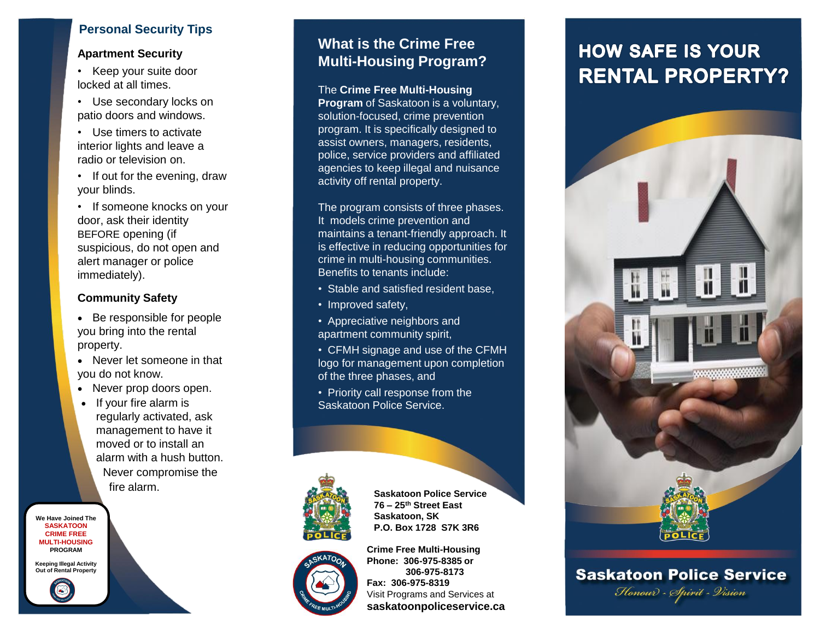## **Personal Security Tips**

#### **Apartment Security**

- Keep your suite door locked at all times.
- Use secondary locks on patio doors and windows.
- Use timers to activate interior lights and leave a radio or television on.
- If out for the evening, draw your blinds.
- If someone knocks on your door, ask their identity BEFORE opening (if suspicious, do not open and alert manager or police immediately).

## **Community Safety**

- Be responsible for people you bring into the rental property.
- Never let someone in that you do not know.
- Never prop doors open.
- If your fire alarm is regularly activated, ask management to have it moved or to install an alarm with a hush button. Never compromise the fire alarm.

**We Have Joined The SASKATOON CRIME FREE MULTI-HOUSING PROGRAM**

**Keeping Illegal Activity Out of Rental Property**

## **What is the Crime Free Multi-Housing Program?**

The **Crime Free Multi-Housing Program** of Saskatoon is a voluntary, solution-focused, crime prevention program. It is specifically designed to assist owners, managers, residents, police, service providers and affiliated agencies to keep illegal and nuisance activity off rental property.

The program consists of three phases. It models crime prevention and maintains a tenant-friendly approach. It is effective in reducing opportunities for crime in multi-housing communities. Benefits to tenants include:

- Stable and satisfied resident base,
- Improved safety,
- Appreciative neighbors and apartment community spirit,
- CFMH signage and use of the CFMH logo for management upon completion of the three phases, and
- Priority call response from the Saskatoon Police Service.



**Saskatoon Police Service 76 – 25th Street East Saskatoon, SK P.O. Box 1728 S7K 3R6**



**Crime Free Multi-Housing Phone: 306-975-8385 or 306-975-8173 Fax: 306-975-8319** Visit Programs and Services at **saskatoonpoliceservice.ca**

# **HOW SAFE IS YOUR RENTAL PROPERTY?**



**Saskatoon Police Service** Honour - Spirit - Vision